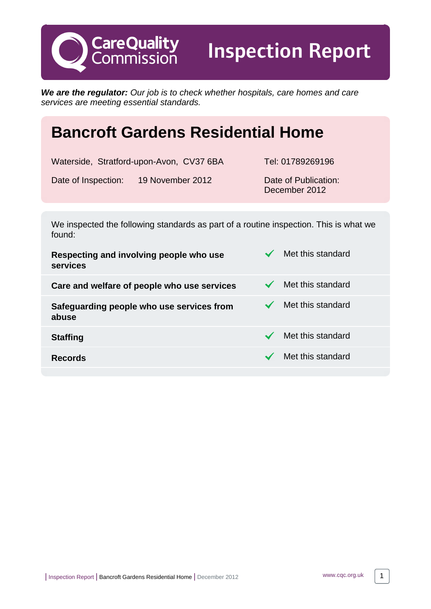**We are the regulator:** Our job is to check whether hospitals, care homes and care services are meeting essential standards.

# **Bancroft Gardens Residential Home**

Waterside, Stratford-upon-Avon, CV37 6BA Tel: 01789269196

Date of Inspection: 19 November 2012 Date of Publication:

**CareQuality**<br>Commission

Inspection Report

December 2012

We inspected the following standards as part of a routine inspection. This is what we found:

| Respecting and involving people who use<br>services | Met this standard |
|-----------------------------------------------------|-------------------|
| Care and welfare of people who use services         | Met this standard |
| Safeguarding people who use services from<br>abuse  | Met this standard |
| <b>Staffing</b>                                     | Met this standard |
| <b>Records</b>                                      | Met this standard |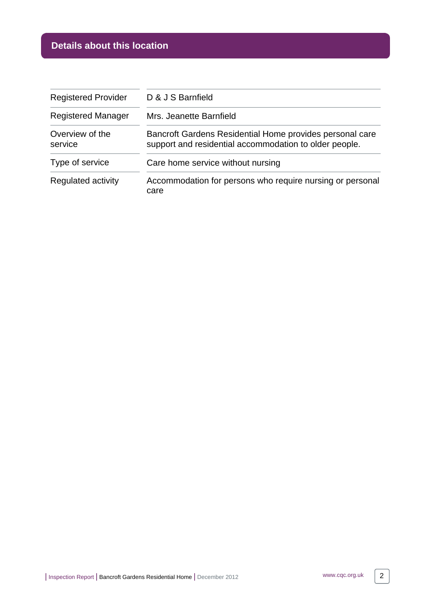# **Details about this location**

| <b>Registered Provider</b> | D & J S Barnfield                                                                                                  |  |
|----------------------------|--------------------------------------------------------------------------------------------------------------------|--|
| <b>Registered Manager</b>  | Mrs. Jeanette Barnfield                                                                                            |  |
| Overview of the<br>service | Bancroft Gardens Residential Home provides personal care<br>support and residential accommodation to older people. |  |
| Type of service            | Care home service without nursing                                                                                  |  |
| Regulated activity         | Accommodation for persons who require nursing or personal<br>care                                                  |  |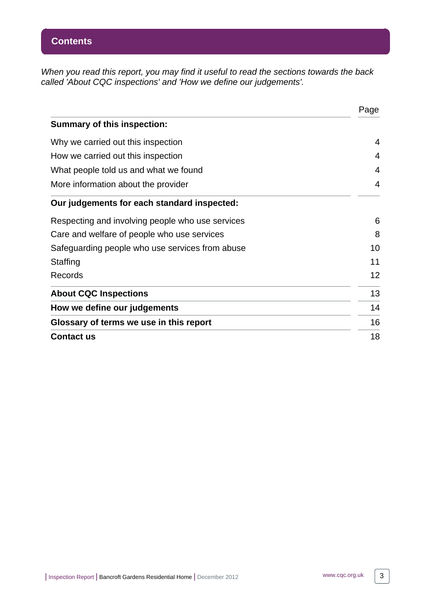When you read this report, you may find it useful to read the sections towards the back called 'About CQC inspections' and 'How we define our judgements'.

|                                                  | Page |
|--------------------------------------------------|------|
| <b>Summary of this inspection:</b>               |      |
| Why we carried out this inspection               | 4    |
| How we carried out this inspection               | 4    |
| What people told us and what we found            | 4    |
| More information about the provider              | 4    |
| Our judgements for each standard inspected:      |      |
| Respecting and involving people who use services | 6    |
| Care and welfare of people who use services      | 8    |
| Safeguarding people who use services from abuse  | 10   |
| Staffing                                         | 11   |
| Records                                          | 12   |
| <b>About CQC Inspections</b>                     | 13   |
| How we define our judgements                     | 14   |
| Glossary of terms we use in this report          | 16   |
| <b>Contact us</b>                                | 18   |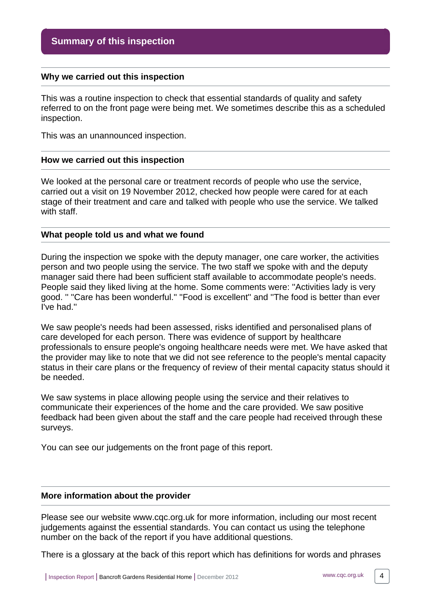#### <span id="page-3-0"></span>**Why we carried out this inspection**

This was a routine inspection to check that essential standards of quality and safety referred to on the front page were being met. We sometimes describe this as a scheduled inspection.

This was an unannounced inspection.

#### <span id="page-3-1"></span>**How we carried out this inspection**

We looked at the personal care or treatment records of people who use the service, carried out a visit on 19 November 2012, checked how people were cared for at each stage of their treatment and care and talked with people who use the service. We talked with staff.

#### <span id="page-3-2"></span>**What people told us and what we found**

During the inspection we spoke with the deputy manager, one care worker, the activities person and two people using the service. The two staff we spoke with and the deputy manager said there had been sufficient staff available to accommodate people's needs. People said they liked living at the home. Some comments were: ''Activities lady is very good. '' ''Care has been wonderful.'' ''Food is excellent'' and ''The food is better than ever I've had.''

We saw people's needs had been assessed, risks identified and personalised plans of care developed for each person. There was evidence of support by healthcare professionals to ensure people's ongoing healthcare needs were met. We have asked that the provider may like to note that we did not see reference to the people's mental capacity status in their care plans or the frequency of review of their mental capacity status should it be needed.

We saw systems in place allowing people using the service and their relatives to communicate their experiences of the home and the care provided. We saw positive feedback had been given about the staff and the care people had received through these surveys.

You can see our judgements on the front page of this report.

#### <span id="page-3-3"></span>**More information about the provider**

Please see our website www.cqc.org.uk for more information, including our most recent judgements against the essential standards. You can contact us using the telephone number on the back of the report if you have additional questions.

There is a glossary at the back of this report which has definitions for words and phrases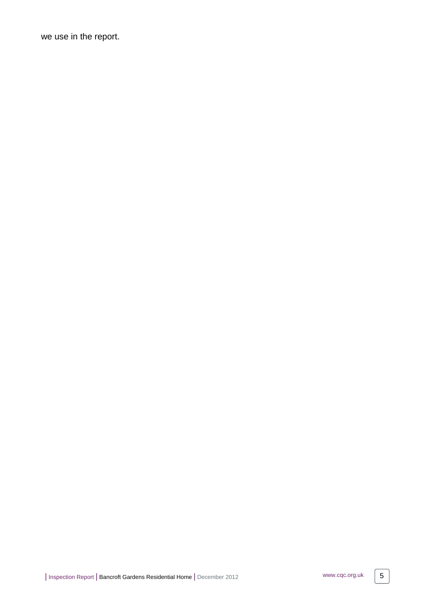we use in the report.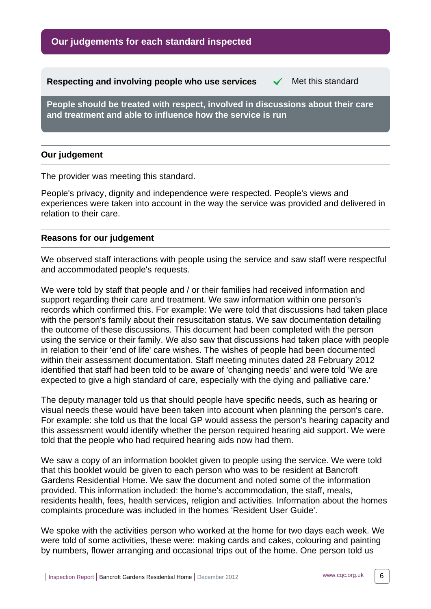**Our judgements for each standard inspected**

<span id="page-5-0"></span>**Respecting and involving people who use services**  $\checkmark$  **Met this standard** 

**People should be treated with respect, involved in discussions about their care and treatment and able to influence how the service is run**

#### **Our judgement**

The provider was meeting this standard.

People's privacy, dignity and independence were respected. People's views and experiences were taken into account in the way the service was provided and delivered in relation to their care.

#### **Reasons for our judgement**

We observed staff interactions with people using the service and saw staff were respectful and accommodated people's requests.

We were told by staff that people and / or their families had received information and support regarding their care and treatment. We saw information within one person's records which confirmed this. For example: We were told that discussions had taken place with the person's family about their resuscitation status. We saw documentation detailing the outcome of these discussions. This document had been completed with the person using the service or their family. We also saw that discussions had taken place with people in relation to their 'end of life' care wishes. The wishes of people had been documented within their assessment documentation. Staff meeting minutes dated 28 February 2012 identified that staff had been told to be aware of 'changing needs' and were told 'We are expected to give a high standard of care, especially with the dying and palliative care.'

The deputy manager told us that should people have specific needs, such as hearing or visual needs these would have been taken into account when planning the person's care. For example: she told us that the local GP would assess the person's hearing capacity and this assessment would identify whether the person required hearing aid support. We were told that the people who had required hearing aids now had them.

We saw a copy of an information booklet given to people using the service. We were told that this booklet would be given to each person who was to be resident at Bancroft Gardens Residential Home. We saw the document and noted some of the information provided. This information included: the home's accommodation, the staff, meals, residents health, fees, health services, religion and activities. Information about the homes complaints procedure was included in the homes 'Resident User Guide'.

We spoke with the activities person who worked at the home for two days each week. We were told of some activities, these were: making cards and cakes, colouring and painting by numbers, flower arranging and occasional trips out of the home. One person told us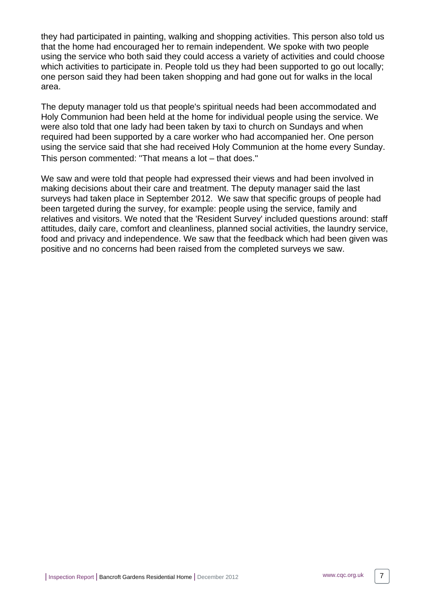they had participated in painting, walking and shopping activities. This person also told us that the home had encouraged her to remain independent. We spoke with two people using the service who both said they could access a variety of activities and could choose which activities to participate in. People told us they had been supported to go out locally; one person said they had been taken shopping and had gone out for walks in the local area.

The deputy manager told us that people's spiritual needs had been accommodated and Holy Communion had been held at the home for individual people using the service. We were also told that one lady had been taken by taxi to church on Sundays and when required had been supported by a care worker who had accompanied her. One person using the service said that she had received Holy Communion at the home every Sunday. This person commented: ''That means a lot – that does.''

We saw and were told that people had expressed their views and had been involved in making decisions about their care and treatment. The deputy manager said the last surveys had taken place in September 2012. We saw that specific groups of people had been targeted during the survey, for example: people using the service, family and relatives and visitors. We noted that the 'Resident Survey' included questions around: staff attitudes, daily care, comfort and cleanliness, planned social activities, the laundry service, food and privacy and independence. We saw that the feedback which had been given was positive and no concerns had been raised from the completed surveys we saw.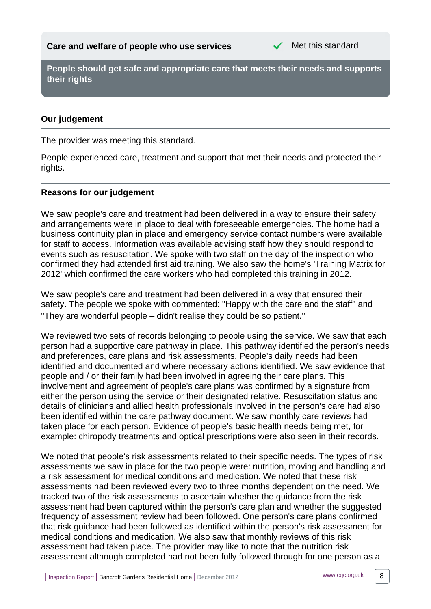

<span id="page-7-0"></span>**People should get safe and appropriate care that meets their needs and supports their rights**

### **Our judgement**

The provider was meeting this standard.

People experienced care, treatment and support that met their needs and protected their rights.

#### **Reasons for our judgement**

We saw people's care and treatment had been delivered in a way to ensure their safety and arrangements were in place to deal with foreseeable emergencies. The home had a business continuity plan in place and emergency service contact numbers were available for staff to access. Information was available advising staff how they should respond to events such as resuscitation. We spoke with two staff on the day of the inspection who confirmed they had attended first aid training. We also saw the home's 'Training Matrix for 2012' which confirmed the care workers who had completed this training in 2012.

We saw people's care and treatment had been delivered in a way that ensured their safety. The people we spoke with commented: ''Happy with the care and the staff'' and ''They are wonderful people – didn't realise they could be so patient.''

We reviewed two sets of records belonging to people using the service. We saw that each person had a supportive care pathway in place. This pathway identified the person's needs and preferences, care plans and risk assessments. People's daily needs had been identified and documented and where necessary actions identified. We saw evidence that people and / or their family had been involved in agreeing their care plans. This involvement and agreement of people's care plans was confirmed by a signature from either the person using the service or their designated relative. Resuscitation status and details of clinicians and allied health professionals involved in the person's care had also been identified within the care pathway document. We saw monthly care reviews had taken place for each person. Evidence of people's basic health needs being met, for example: chiropody treatments and optical prescriptions were also seen in their records.

We noted that people's risk assessments related to their specific needs. The types of risk assessments we saw in place for the two people were: nutrition, moving and handling and a risk assessment for medical conditions and medication. We noted that these risk assessments had been reviewed every two to three months dependent on the need. We tracked two of the risk assessments to ascertain whether the guidance from the risk assessment had been captured within the person's care plan and whether the suggested frequency of assessment review had been followed. One person's care plans confirmed that risk guidance had been followed as identified within the person's risk assessment for medical conditions and medication. We also saw that monthly reviews of this risk assessment had taken place. The provider may like to note that the nutrition risk assessment although completed had not been fully followed through for one person as a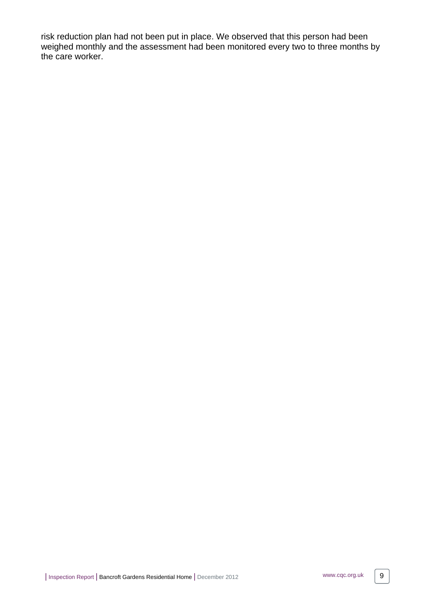risk reduction plan had not been put in place. We observed that this person had been weighed monthly and the assessment had been monitored every two to three months by the care worker.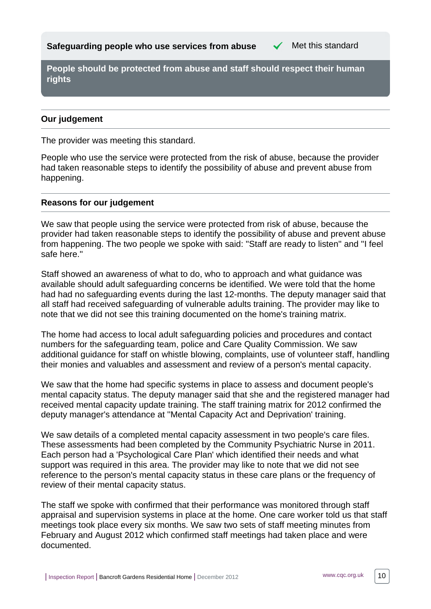<span id="page-9-0"></span>**Safeguarding people who use services from abuse**  $\checkmark$  Met this standard

**People should be protected from abuse and staff should respect their human rights**

#### **Our judgement**

The provider was meeting this standard.

People who use the service were protected from the risk of abuse, because the provider had taken reasonable steps to identify the possibility of abuse and prevent abuse from happening.

#### **Reasons for our judgement**

We saw that people using the service were protected from risk of abuse, because the provider had taken reasonable steps to identify the possibility of abuse and prevent abuse from happening. The two people we spoke with said: ''Staff are ready to listen'' and ''I feel safe here.''

Staff showed an awareness of what to do, who to approach and what guidance was available should adult safeguarding concerns be identified. We were told that the home had had no safeguarding events during the last 12-months. The deputy manager said that all staff had received safeguarding of vulnerable adults training. The provider may like to note that we did not see this training documented on the home's training matrix.

The home had access to local adult safeguarding policies and procedures and contact numbers for the safeguarding team, police and Care Quality Commission. We saw additional guidance for staff on whistle blowing, complaints, use of volunteer staff, handling their monies and valuables and assessment and review of a person's mental capacity.

We saw that the home had specific systems in place to assess and document people's mental capacity status. The deputy manager said that she and the registered manager had received mental capacity update training. The staff training matrix for 2012 confirmed the deputy manager's attendance at ''Mental Capacity Act and Deprivation' training.

We saw details of a completed mental capacity assessment in two people's care files. These assessments had been completed by the Community Psychiatric Nurse in 2011. Each person had a 'Psychological Care Plan' which identified their needs and what support was required in this area. The provider may like to note that we did not see reference to the person's mental capacity status in these care plans or the frequency of review of their mental capacity status.

The staff we spoke with confirmed that their performance was monitored through staff appraisal and supervision systems in place at the home. One care worker told us that staff meetings took place every six months. We saw two sets of staff meeting minutes from February and August 2012 which confirmed staff meetings had taken place and were documented.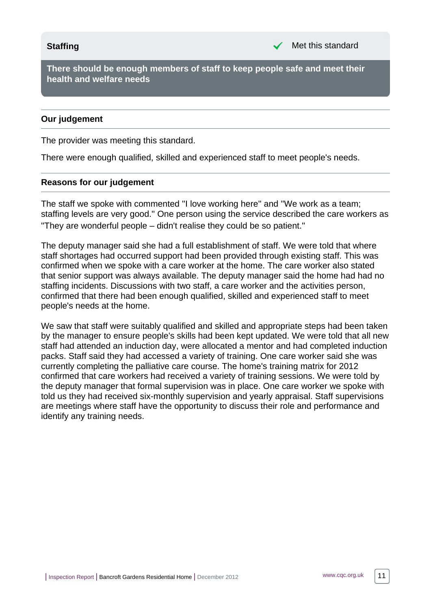<span id="page-10-0"></span>**There should be enough members of staff to keep people safe and meet their health and welfare needs**

#### **Our judgement**

The provider was meeting this standard.

There were enough qualified, skilled and experienced staff to meet people's needs.

#### **Reasons for our judgement**

The staff we spoke with commented ''I love working here'' and ''We work as a team; staffing levels are very good.'' One person using the service described the care workers as ''They are wonderful people – didn't realise they could be so patient.''

The deputy manager said she had a full establishment of staff. We were told that where staff shortages had occurred support had been provided through existing staff. This was confirmed when we spoke with a care worker at the home. The care worker also stated that senior support was always available. The deputy manager said the home had had no staffing incidents. Discussions with two staff, a care worker and the activities person, confirmed that there had been enough qualified, skilled and experienced staff to meet people's needs at the home.

We saw that staff were suitably qualified and skilled and appropriate steps had been taken by the manager to ensure people's skills had been kept updated. We were told that all new staff had attended an induction day, were allocated a mentor and had completed induction packs. Staff said they had accessed a variety of training. One care worker said she was currently completing the palliative care course. The home's training matrix for 2012 confirmed that care workers had received a variety of training sessions. We were told by the deputy manager that formal supervision was in place. One care worker we spoke with told us they had received six-monthly supervision and yearly appraisal. Staff supervisions are meetings where staff have the opportunity to discuss their role and performance and identify any training needs.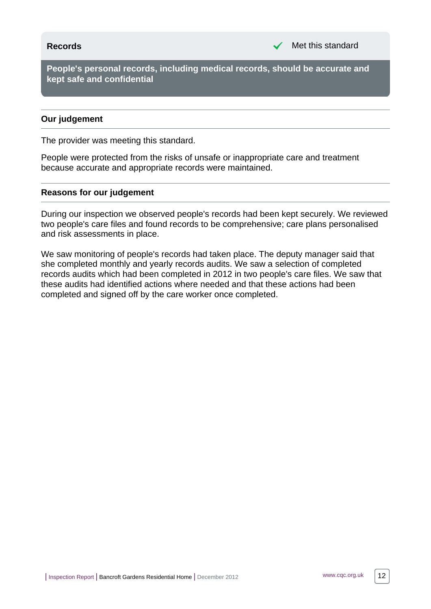<span id="page-11-0"></span>**People's personal records, including medical records, should be accurate and kept safe and confidential**

#### **Our judgement**

The provider was meeting this standard.

People were protected from the risks of unsafe or inappropriate care and treatment because accurate and appropriate records were maintained.

#### **Reasons for our judgement**

During our inspection we observed people's records had been kept securely. We reviewed two people's care files and found records to be comprehensive; care plans personalised and risk assessments in place.

We saw monitoring of people's records had taken place. The deputy manager said that she completed monthly and yearly records audits. We saw a selection of completed records audits which had been completed in 2012 in two people's care files. We saw that these audits had identified actions where needed and that these actions had been completed and signed off by the care worker once completed.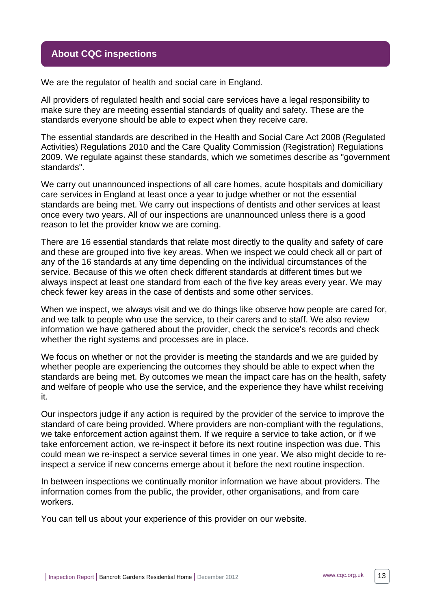### <span id="page-12-0"></span>**About CQC inspections**

We are the regulator of health and social care in England.

All providers of regulated health and social care services have a legal responsibility to make sure they are meeting essential standards of quality and safety. These are the standards everyone should be able to expect when they receive care.

The essential standards are described in the Health and Social Care Act 2008 (Regulated Activities) Regulations 2010 and the Care Quality Commission (Registration) Regulations 2009. We regulate against these standards, which we sometimes describe as "government standards".

We carry out unannounced inspections of all care homes, acute hospitals and domiciliary care services in England at least once a year to judge whether or not the essential standards are being met. We carry out inspections of dentists and other services at least once every two years. All of our inspections are unannounced unless there is a good reason to let the provider know we are coming.

There are 16 essential standards that relate most directly to the quality and safety of care and these are grouped into five key areas. When we inspect we could check all or part of any of the 16 standards at any time depending on the individual circumstances of the service. Because of this we often check different standards at different times but we always inspect at least one standard from each of the five key areas every year. We may check fewer key areas in the case of dentists and some other services.

When we inspect, we always visit and we do things like observe how people are cared for, and we talk to people who use the service, to their carers and to staff. We also review information we have gathered about the provider, check the service's records and check whether the right systems and processes are in place.

We focus on whether or not the provider is meeting the standards and we are guided by whether people are experiencing the outcomes they should be able to expect when the standards are being met. By outcomes we mean the impact care has on the health, safety and welfare of people who use the service, and the experience they have whilst receiving it.

Our inspectors judge if any action is required by the provider of the service to improve the standard of care being provided. Where providers are non-compliant with the regulations, we take enforcement action against them. If we require a service to take action, or if we take enforcement action, we re-inspect it before its next routine inspection was due. This could mean we re-inspect a service several times in one year. We also might decide to reinspect a service if new concerns emerge about it before the next routine inspection.

In between inspections we continually monitor information we have about providers. The information comes from the public, the provider, other organisations, and from care workers.

You can tell us about your experience of this provider on our website.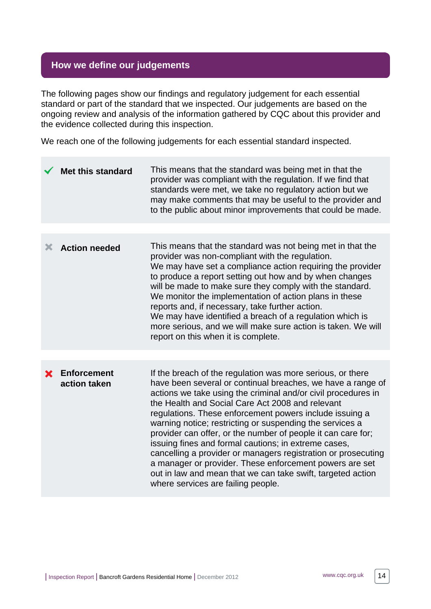# <span id="page-13-0"></span>**How we define our judgements**

The following pages show our findings and regulatory judgement for each essential standard or part of the standard that we inspected. Our judgements are based on the ongoing review and analysis of the information gathered by CQC about this provider and the evidence collected during this inspection.

We reach one of the following judgements for each essential standard inspected.

|   | <b>Met this standard</b>           | This means that the standard was being met in that the<br>provider was compliant with the regulation. If we find that<br>standards were met, we take no regulatory action but we<br>may make comments that may be useful to the provider and<br>to the public about minor improvements that could be made.                                                                                                                                                                                                                                                                                                                                                                                                                     |
|---|------------------------------------|--------------------------------------------------------------------------------------------------------------------------------------------------------------------------------------------------------------------------------------------------------------------------------------------------------------------------------------------------------------------------------------------------------------------------------------------------------------------------------------------------------------------------------------------------------------------------------------------------------------------------------------------------------------------------------------------------------------------------------|
|   |                                    |                                                                                                                                                                                                                                                                                                                                                                                                                                                                                                                                                                                                                                                                                                                                |
| Х | <b>Action needed</b>               | This means that the standard was not being met in that the<br>provider was non-compliant with the regulation.<br>We may have set a compliance action requiring the provider<br>to produce a report setting out how and by when changes<br>will be made to make sure they comply with the standard.<br>We monitor the implementation of action plans in these<br>reports and, if necessary, take further action.<br>We may have identified a breach of a regulation which is<br>more serious, and we will make sure action is taken. We will<br>report on this when it is complete.                                                                                                                                             |
|   |                                    |                                                                                                                                                                                                                                                                                                                                                                                                                                                                                                                                                                                                                                                                                                                                |
| X | <b>Enforcement</b><br>action taken | If the breach of the regulation was more serious, or there<br>have been several or continual breaches, we have a range of<br>actions we take using the criminal and/or civil procedures in<br>the Health and Social Care Act 2008 and relevant<br>regulations. These enforcement powers include issuing a<br>warning notice; restricting or suspending the services a<br>provider can offer, or the number of people it can care for;<br>issuing fines and formal cautions; in extreme cases,<br>cancelling a provider or managers registration or prosecuting<br>a manager or provider. These enforcement powers are set<br>out in law and mean that we can take swift, targeted action<br>where services are failing people. |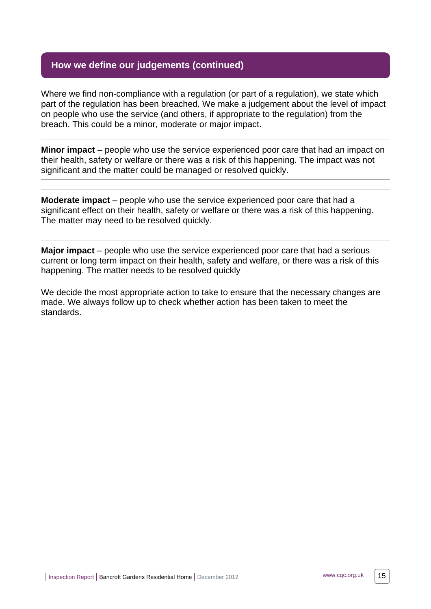# **How we define our judgements (continued)**

Where we find non-compliance with a regulation (or part of a regulation), we state which part of the regulation has been breached. We make a judgement about the level of impact on people who use the service (and others, if appropriate to the regulation) from the breach. This could be a minor, moderate or major impact.

**Minor impact** – people who use the service experienced poor care that had an impact on their health, safety or welfare or there was a risk of this happening. The impact was not significant and the matter could be managed or resolved quickly.

**Moderate impact** – people who use the service experienced poor care that had a significant effect on their health, safety or welfare or there was a risk of this happening. The matter may need to be resolved quickly.

**Major impact** – people who use the service experienced poor care that had a serious current or long term impact on their health, safety and welfare, or there was a risk of this happening. The matter needs to be resolved quickly

We decide the most appropriate action to take to ensure that the necessary changes are made. We always follow up to check whether action has been taken to meet the standards.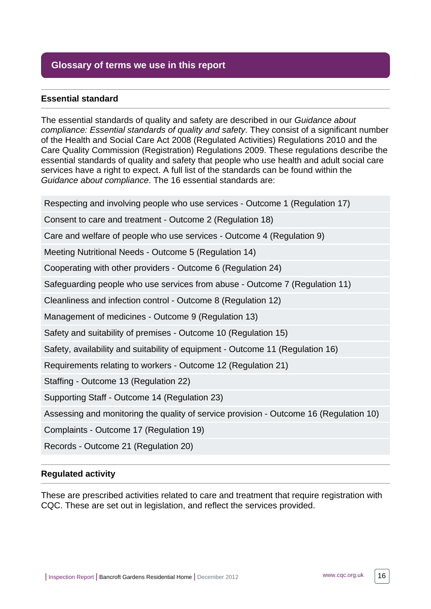# <span id="page-15-0"></span>**Glossary of terms we use in this report**

#### **Essential standard**

The essential standards of quality and safety are described in our Guidance about compliance: Essential standards of quality and safety. They consist of a significant number of the Health and Social Care Act 2008 (Regulated Activities) Regulations 2010 and the Care Quality Commission (Registration) Regulations 2009. These regulations describe the essential standards of quality and safety that people who use health and adult social care services have a right to expect. A full list of the standards can be found within the Guidance about compliance. The 16 essential standards are:

Respecting and involving people who use services - Outcome 1 (Regulation 17)

Consent to care and treatment - Outcome 2 (Regulation 18)

Care and welfare of people who use services - Outcome 4 (Regulation 9)

Meeting Nutritional Needs - Outcome 5 (Regulation 14)

Cooperating with other providers - Outcome 6 (Regulation 24)

Safeguarding people who use services from abuse - Outcome 7 (Regulation 11)

Cleanliness and infection control - Outcome 8 (Regulation 12)

Management of medicines - Outcome 9 (Regulation 13)

Safety and suitability of premises - Outcome 10 (Regulation 15)

Safety, availability and suitability of equipment - Outcome 11 (Regulation 16)

Requirements relating to workers - Outcome 12 (Regulation 21)

Staffing - Outcome 13 (Regulation 22)

Supporting Staff - Outcome 14 (Regulation 23)

Assessing and monitoring the quality of service provision - Outcome 16 (Regulation 10)

Complaints - Outcome 17 (Regulation 19)

Records - Outcome 21 (Regulation 20)

#### **Regulated activity**

These are prescribed activities related to care and treatment that require registration with CQC. These are set out in legislation, and reflect the services provided.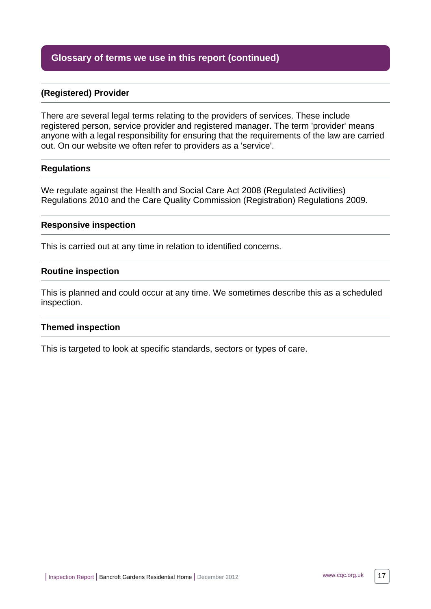# **Glossary of terms we use in this report (continued)**

#### **(Registered) Provider**

There are several legal terms relating to the providers of services. These include registered person, service provider and registered manager. The term 'provider' means anyone with a legal responsibility for ensuring that the requirements of the law are carried out. On our website we often refer to providers as a 'service'.

#### **Regulations**

We regulate against the Health and Social Care Act 2008 (Regulated Activities) Regulations 2010 and the Care Quality Commission (Registration) Regulations 2009.

#### **Responsive inspection**

This is carried out at any time in relation to identified concerns.

#### **Routine inspection**

This is planned and could occur at any time. We sometimes describe this as a scheduled inspection.

#### **Themed inspection**

This is targeted to look at specific standards, sectors or types of care.